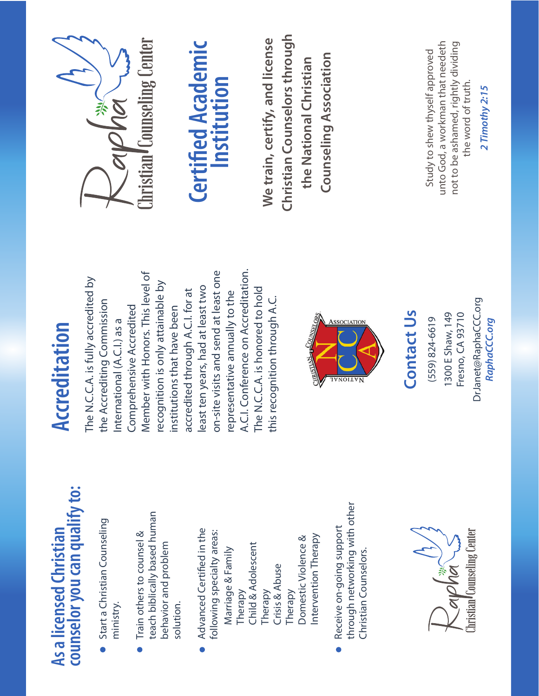## counselor you can qualify to: **counselor you can qualify to: As a licensed Christian**  As a licensed Christian

- Start a Christian Counseling Start a Christian Counseling ministry.
- teach biblically based human teach biblically based human Train others to counsel & Train others to counsel & behavior and problem behavior and problem solution.  $\bullet$
- Advanced Certified in the Advanced Certified in the following specialty areas: following specialty areas: ntervention Therapy Domestic Violence & Intervention Therapy Domestic Violence & Child & Adolescent Child & Adolescent Marriage & Family Marriage & Family Crisis & Abuse Crisis & Abuse Therapy Therapy Therapy
- through networking with other through networking with other Receive on-going support Receive on-going support Christian Counselors. Christian Counselors. $\bullet$



## Accreditation **Accreditation**

A.C.I. Conference on Accreditation. on-site visits and send at least one A.C.I. Conference on Accreditation. Member with Honors. This level of on-site visits and send at least one Member with Honors. This level of The N.C.C.A. is fully accredited by The N.C.C.A. is fully accredited by recognition is only attainable by recognition is only attainable by least ten years, had at least two The N.C.C.A. is honored to hold least ten years, had at least two accredited through A.C.I. for at The N.C.C.A. is honored to hold accredited through A.C.I. for at representative annually to the representative annually to the this recognition through A.C. the Accrediting Commission this recognition through A.C. the Accrediting Commission Comprehensive Accredited Comprehensive Accredited institutions that have been institutions that have been International (A.C.I.) as a International (A.C.I.) as a



## $(559) 824 - 6619$ (559) 824-6619

### **Contact Us Contact Us**









## **Certified Academic Certified Academic Institution**

**Christian Counselors through**  Christian Counselors through **We train, certify, and license**  We train, certify, and license **Counseling Association Counseling Association the National Christian**  the National Christian

unto God, a workman that needeth unto God, a workman that needeth not to be ashamed, rightly dividing not to be ashamed, rightly dividing Study to shew thyself approved Study to shew thyself approved the word of truth. the word of truth.

*2 Timothy 2:15* 

2 Timothy 2:15

DrJanet@RaphaCCC.org *RaphaCCC.org*

RaphaCCC.org

DrJanet@RaphaCCC.org

1300 E Shaw, 149 Fresno, CA 93710

1300 E Shaw, 149 Fresno, CA 93710